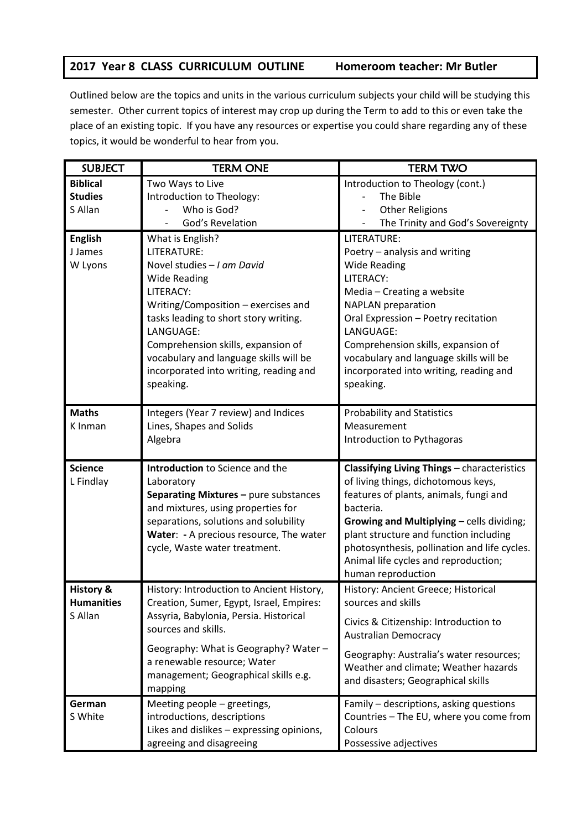## **2017 Year 8 CLASS CURRICULUM OUTLINE Homeroom teacher: Mr Butler**

Outlined below are the topics and units in the various curriculum subjects your child will be studying this semester. Other current topics of interest may crop up during the Term to add to this or even take the place of an existing topic. If you have any resources or expertise you could share regarding any of these topics, it would be wonderful to hear from you.

| <b>SUBJECT</b>       | <b>TERM ONE</b>                           | <b>TERM TWO</b>                                    |
|----------------------|-------------------------------------------|----------------------------------------------------|
| <b>Biblical</b>      | Two Ways to Live                          | Introduction to Theology (cont.)                   |
| <b>Studies</b>       | Introduction to Theology:                 | The Bible                                          |
| S Allan              | Who is God?                               | <b>Other Religions</b><br>$\overline{\phantom{a}}$ |
|                      | God's Revelation                          | The Trinity and God's Sovereignty                  |
| <b>English</b>       | What is English?                          | LITERATURE:                                        |
| J James              | LITERATURE:                               | Poetry - analysis and writing                      |
| W Lyons              | Novel studies - I am David                | <b>Wide Reading</b>                                |
|                      | <b>Wide Reading</b>                       | LITERACY:                                          |
|                      | LITERACY:                                 | Media - Creating a website                         |
|                      | Writing/Composition - exercises and       | <b>NAPLAN</b> preparation                          |
|                      | tasks leading to short story writing.     | Oral Expression - Poetry recitation                |
|                      | LANGUAGE:                                 | LANGUAGE:                                          |
|                      | Comprehension skills, expansion of        | Comprehension skills, expansion of                 |
|                      | vocabulary and language skills will be    | vocabulary and language skills will be             |
|                      | incorporated into writing, reading and    | incorporated into writing, reading and             |
|                      | speaking.                                 | speaking.                                          |
|                      |                                           |                                                    |
| <b>Maths</b>         | Integers (Year 7 review) and Indices      | <b>Probability and Statistics</b>                  |
| K Inman              | Lines, Shapes and Solids                  | Measurement                                        |
|                      | Algebra                                   | Introduction to Pythagoras                         |
| <b>Science</b>       | Introduction to Science and the           | Classifying Living Things - characteristics        |
| L Findlay            | Laboratory                                | of living things, dichotomous keys,                |
|                      | Separating Mixtures - pure substances     | features of plants, animals, fungi and             |
|                      | and mixtures, using properties for        | bacteria.                                          |
|                      | separations, solutions and solubility     | <b>Growing and Multiplying - cells dividing;</b>   |
|                      | Water: - A precious resource, The water   | plant structure and function including             |
|                      | cycle, Waste water treatment.             | photosynthesis, pollination and life cycles.       |
|                      |                                           | Animal life cycles and reproduction;               |
|                      |                                           | human reproduction                                 |
| <b>History &amp;</b> | History: Introduction to Ancient History, | History: Ancient Greece; Historical                |
| <b>Humanities</b>    | Creation, Sumer, Egypt, Israel, Empires:  | sources and skills                                 |
| S Allan              | Assyria, Babylonia, Persia. Historical    | Civics & Citizenship: Introduction to              |
|                      | sources and skills.                       | <b>Australian Democracy</b>                        |
|                      | Geography: What is Geography? Water -     | Geography: Australia's water resources;            |
|                      | a renewable resource; Water               | Weather and climate; Weather hazards               |
|                      | management; Geographical skills e.g.      | and disasters; Geographical skills                 |
|                      | mapping                                   |                                                    |
| German               | Meeting people - greetings,               | Family - descriptions, asking questions            |
| S White              | introductions, descriptions               | Countries - The EU, where you come from            |
|                      | Likes and dislikes - expressing opinions, | Colours                                            |
|                      | agreeing and disagreeing                  | Possessive adjectives                              |